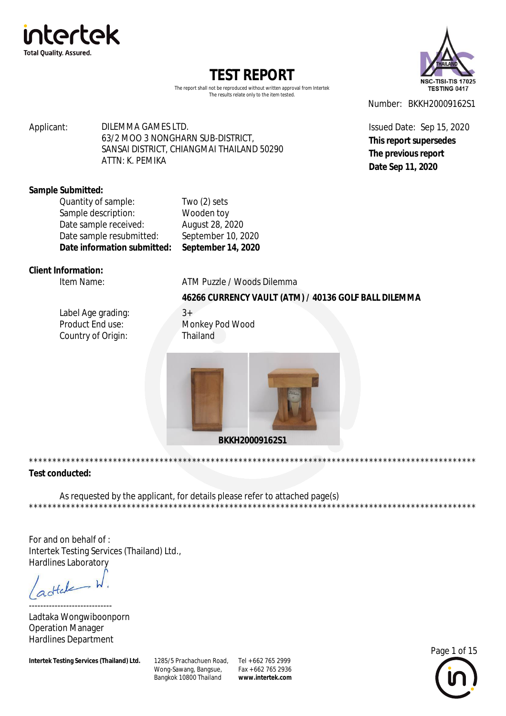



The report shall not be reproduced without written approval from Intertek The results relate only to the item tested.

Applicant: DILEMMA GAMES LTD. 63/2 MOO 3 NONGHARN SUB-DISTRICT, SANSAI DISTRICT, CHIANGMAI THAILAND 50290 ATTN: K. PFMIKA

Number: BKKH20009162S1

Issued Date: Sep 15, 2020 This report supersedes The previous report Date Sep 11, 2020

#### **Sample Submitted:**

| Date sample resubmitted:<br>Date information submitted: | September 10, 2020<br>September 14, 2020 |
|---------------------------------------------------------|------------------------------------------|
| Date sample received:                                   | August 28, 2020                          |
| Sample description:                                     | Wooden toy                               |
| Quantity of sample:                                     | Two $(2)$ sets                           |

\*\*\*\*\*\*\*\*\*\*\*\*\*\*\*\*\*

### Client Information:

Item Name:

ATM Puzzle / Woods Dilemma

### 46266 CURRENCY VAULT (ATM) / 40136 GOLF BALL DILEMMA

\*\*\*\*\*\*\*\*\*\*\*\*\*\*\*\*\*\*\*\*\*

Label Age grading: Product End use: Country of Origin:

 $3+$ Monkey Pod Wood Thailand



### **Test conducted:**

As requested by the applicant, for details please refer to attached page(s) \*\*\*\*\*\*\*\*\*\*\*\*\*\*\*\*\*\*\*\*\*\*\*\*

For and on behalf of: Intertek Testing Services (Thailand) Ltd., **Hardlines Laboratory** 

dtele

Ladtaka Wongwiboonporn **Operation Manager Hardlines Department** 

Intertek Testing Services (Thailand) Ltd.

1285/5 Prachachuen Road, Tel + 662 765 2999 Wong-Sawang, Bangsue, Bangkok 10800 Thailand

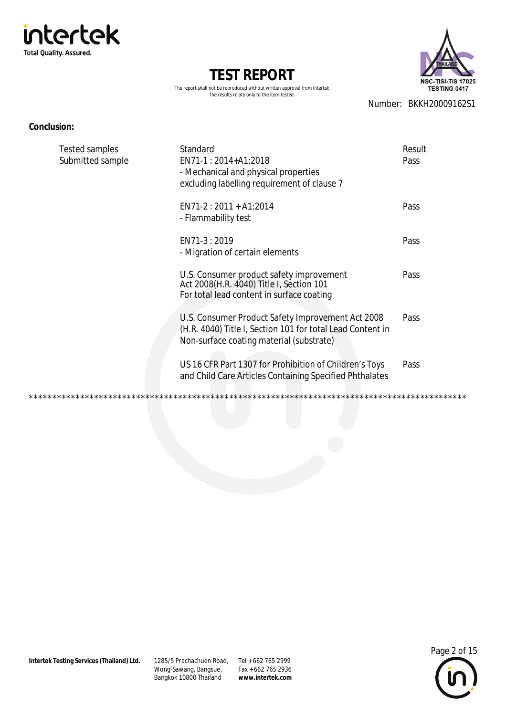



The report shall not be reproduced without written approval from Intertek The results relate only to the item tested.

Number: BKKH20009162S1

#### **Conclusion:**

| Tested samples<br>Submitted sample | Standard<br>EN71-1:2014+A1:2018<br>- Mechanical and physical properties<br>excluding labelling requirement of clause 7                                      | Result<br>Pass |
|------------------------------------|-------------------------------------------------------------------------------------------------------------------------------------------------------------|----------------|
|                                    | $EN71-2: 2011 + A1:2014$<br>- Flammability test                                                                                                             | Pass           |
|                                    | EN71-3:2019<br>- Migration of certain elements                                                                                                              | Pass           |
|                                    | U.S. Consumer product safety improvement<br>Act 2008(H.R. 4040) Title I, Section 101<br>For total lead content in surface coating                           | Pass           |
|                                    | U.S. Consumer Product Safety Improvement Act 2008<br>(H.R. 4040) Title I, Section 101 for total Lead Content in<br>Non-surface coating material (substrate) | Pass           |
|                                    | US 16 CFR Part 1307 for Prohibition of Children's Toys<br>and Child Care Articles Containing Specified Phthalates                                           | Pass           |
|                                    |                                                                                                                                                             |                |

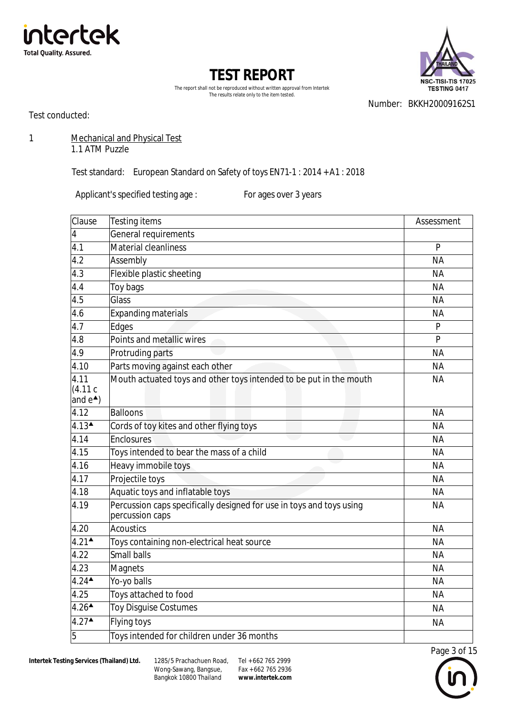



The report shall not be reproduced without written approval from Intertek The results relate only to the item tested.

Number: BKKH20009162S1

Test conducted:

1 Mechanical and Physical Test

1.1 ATM Puzzle

Test standard: European Standard on Safety of toys EN71-1 : 2014 + A1 : 2018

Applicant's specified testing age : For ages over 3 years

| Clause                                   | <b>Testing items</b>                                                                    | Assessment     |
|------------------------------------------|-----------------------------------------------------------------------------------------|----------------|
| $\overline{4}$                           | General requirements                                                                    |                |
| 4.1                                      | <b>Material cleanliness</b>                                                             | P              |
| 4.2                                      | Assembly                                                                                | <b>NA</b>      |
| 4.3                                      | Flexible plastic sheeting                                                               | <b>NA</b>      |
| 4.4                                      | Toy bags                                                                                | <b>NA</b>      |
| 4.5                                      | Glass                                                                                   | <b>NA</b>      |
| 4.6                                      | <b>Expanding materials</b>                                                              | <b>NA</b>      |
| 4.7                                      | Edges                                                                                   | P              |
| 4.8                                      | Points and metallic wires                                                               | $\overline{P}$ |
| 4.9                                      | Protruding parts                                                                        | <b>NA</b>      |
| 4.10                                     | Parts moving against each other                                                         | <b>NA</b>      |
| 4.11<br>(4.11c)<br>and $e^{\triangle}$ ) | Mouth actuated toys and other toys intended to be put in the mouth                      | <b>NA</b>      |
| 4.12                                     | <b>Balloons</b>                                                                         | <b>NA</b>      |
| $4.13$ <sup><math>\triangle</math></sup> | Cords of toy kites and other flying toys                                                | <b>NA</b>      |
| 4.14                                     | Enclosures                                                                              | <b>NA</b>      |
| 4.15                                     | Toys intended to bear the mass of a child                                               | <b>NA</b>      |
| 4.16                                     | Heavy immobile toys                                                                     | <b>NA</b>      |
| 4.17                                     | Projectile toys                                                                         | <b>NA</b>      |
| 4.18                                     | Aquatic toys and inflatable toys                                                        | <b>NA</b>      |
| 4.19                                     | Percussion caps specifically designed for use in toys and toys using<br>percussion caps | <b>NA</b>      |
| 4.20                                     | <b>Acoustics</b>                                                                        | <b>NA</b>      |
| $4.21^{\triangle}$                       | Toys containing non-electrical heat source                                              | <b>NA</b>      |
| 4.22                                     | <b>Small balls</b>                                                                      | <b>NA</b>      |
| 4.23                                     | <b>Magnets</b>                                                                          | <b>NA</b>      |
| $4.24$ <sup><math>\triangle</math></sup> | Yo-yo balls                                                                             | <b>NA</b>      |
| 4.25                                     | Toys attached to food                                                                   | <b>NA</b>      |
| $4.26$ <sup><math>\triangle</math></sup> | Toy Disguise Costumes                                                                   | <b>NA</b>      |
| $4.27$ <sup><math>\triangle</math></sup> | <b>Flying toys</b>                                                                      | <b>NA</b>      |
| 5                                        | Toys intended for children under 36 months                                              |                |

Wong-Sawang, Bangsue, Bangkok 10800 Thailand 1285/5 Prachachuen Road, Tel + 662 765 2999

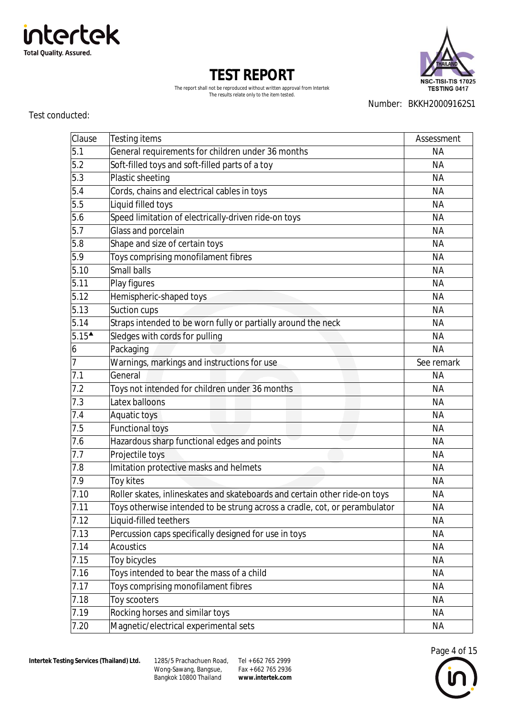

Wong-Sawang, Bangsue, Bangkok 10800 Thailand 1285/5 Prachachuen Road, Tel + 662 765 2999

Fax + 662 765 2936 **[www.intertek.com](http://www.intertek.com)** Number: BKKH20009162S1

| <b>TEST REPORT</b>                                                        |  |  |
|---------------------------------------------------------------------------|--|--|
| The report shall not be reproduced without written approval from Intertek |  |  |
| The results relate only to the item tested.                               |  |  |

Clause Testing items **Assessment** Assessment

| 5.1                                         | General requirements for children under 36 months                          | <b>NA</b>  |
|---------------------------------------------|----------------------------------------------------------------------------|------------|
| 5.2                                         | Soft-filled toys and soft-filled parts of a toy                            | <b>NA</b>  |
| 5.3                                         | Plastic sheeting                                                           | <b>NA</b>  |
| 5.4                                         | Cords, chains and electrical cables in toys                                | <b>NA</b>  |
| 5.5                                         | Liquid filled toys                                                         | <b>NA</b>  |
| 5.6                                         | Speed limitation of electrically-driven ride-on toys                       | <b>NA</b>  |
| 5.7                                         | Glass and porcelain                                                        | <b>NA</b>  |
| 5.8                                         | Shape and size of certain toys                                             | <b>NA</b>  |
| $5.\overline{9}$                            | Toys comprising monofilament fibres                                        | <b>NA</b>  |
| 5.10                                        | <b>Small balls</b>                                                         | <b>NA</b>  |
| 5.11                                        | Play figures                                                               | <b>NA</b>  |
| 5.12                                        | Hemispheric-shaped toys                                                    | <b>NA</b>  |
| 5.13                                        | Suction cups                                                               | <b>NA</b>  |
| 5.14                                        | Straps intended to be worn fully or partially around the neck              | <b>NA</b>  |
| $5.15$ <sup><math>\overline{ }</math></sup> | Sledges with cords for pulling                                             | <b>NA</b>  |
| $\boldsymbol{6}$                            | Packaging                                                                  | <b>NA</b>  |
| $\overline{7}$                              | Warnings, markings and instructions for use                                | See remark |
| 7.1                                         | General                                                                    | <b>NA</b>  |
| 7.2                                         | Toys not intended for children under 36 months                             | <b>NA</b>  |
| 7.3                                         | Latex balloons                                                             | <b>NA</b>  |
| 7.4                                         | Aquatic toys                                                               | <b>NA</b>  |
| 7.5                                         | <b>Functional toys</b>                                                     | <b>NA</b>  |
| 7.6                                         | Hazardous sharp functional edges and points                                | <b>NA</b>  |
| 7.7                                         | Projectile toys                                                            | <b>NA</b>  |
| 7.8                                         | Imitation protective masks and helmets                                     | <b>NA</b>  |
| 7.9                                         | Toy kites                                                                  | <b>NA</b>  |
| 7.10                                        | Roller skates, inlineskates and skateboards and certain other ride-on toys | <b>NA</b>  |
| 7.11                                        | Toys otherwise intended to be strung across a cradle, cot, or perambulator | <b>NA</b>  |
| 7.12                                        | Liquid-filled teethers                                                     | <b>NA</b>  |
| 7.13                                        | Percussion caps specifically designed for use in toys                      | <b>NA</b>  |
| 7.14                                        | <b>Acoustics</b>                                                           | <b>NA</b>  |
| 7.15                                        | Toy bicycles                                                               | <b>NA</b>  |
| 7.16                                        | Toys intended to bear the mass of a child                                  | <b>NA</b>  |
| 7.17                                        | Toys comprising monofilament fibres                                        | <b>NA</b>  |
| 7.18                                        | Toy scooters                                                               | <b>NA</b>  |
| 7.19                                        | Rocking horses and similar toys                                            | <b>NA</b>  |
| 7.20                                        | Magnetic/electrical experimental sets                                      | ΝA         |

### Test conducted:





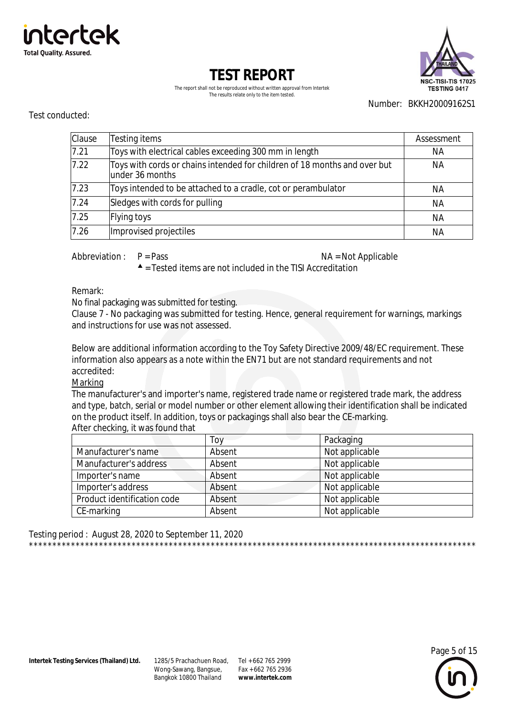



The report shall not be reproduced without written approval from Intertek The results relate only to the item tested.

Number: BKKH20009162S1

#### Test conducted:

| Clause | Testing items                                                                                 | Assessment |
|--------|-----------------------------------------------------------------------------------------------|------------|
| 7.21   | Toys with electrical cables exceeding 300 mm in length                                        | NА         |
| 7.22   | Toys with cords or chains intended for children of 18 months and over but<br>lunder 36 months | NА         |
| 7.23   | Toys intended to be attached to a cradle, cot or perambulator                                 | ΝA         |
| 7.24   | Sledges with cords for pulling                                                                | <b>NA</b>  |
| 7.25   | Flying toys                                                                                   | <b>NA</b>  |
| 7.26   | Improvised projectiles                                                                        | NА         |

Abbreviation:  $P = Pass$ 

NA = Not Applicable

 $\triangle$  = Tested items are not included in the TISI Accreditation

Remark:

No final packaging was submitted for testing.

Clause 7 - No packaging was submitted for testing. Hence, general requirement for warnings, markings and instructions for use was not assessed

Below are additional information according to the Toy Safety Directive 2009/48/EC requirement. These information also appears as a note within the EN71 but are not standard requirements and not accredited:

Marking

The manufacturer's and importer's name, registered trade name or registered trade mark, the address and type, batch, serial or model number or other element allowing their identification shall be indicated on the product itself. In addition, toys or packagings shall also bear the CE-marking. After checking, it was found that

|                             | Toy    | Packaging      |
|-----------------------------|--------|----------------|
| Manufacturer's name         | Absent | Not applicable |
| Manufacturer's address      | Absent | Not applicable |
| Importer's name             | Absent | Not applicable |
| Importer's address          | Absent | Not applicable |
| Product identification code | Absent | Not applicable |
| CE-marking                  | Absent | Not applicable |

Testing period: August 28, 2020 to September 11, 2020 

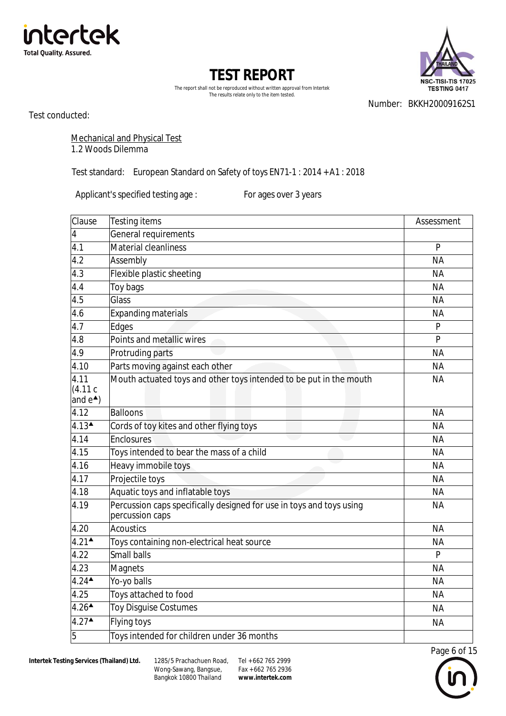



The report shall not be reproduced without written approval from Intertek The results relate only to the item tested.

Test conducted:

Number: BKKH20009162S1

Mechanical and Physical Test 1.2 Woods Dilemma

Test standard: European Standard on Safety of toys EN71-1 : 2014 + A1 : 2018

Applicant's specified testing age : For ages over 3 years

| Clause                                   | Testing items                                                                           | Assessment     |
|------------------------------------------|-----------------------------------------------------------------------------------------|----------------|
| $\pmb{4}$                                | General requirements                                                                    |                |
| 4.1                                      | Material cleanliness                                                                    | P              |
| 4.2                                      | Assembly                                                                                | <b>NA</b>      |
| 4.3                                      | Flexible plastic sheeting                                                               | <b>NA</b>      |
| 4.4                                      | Toy bags                                                                                | <b>NA</b>      |
| 4.5                                      | Glass                                                                                   | <b>NA</b>      |
| 4.6                                      | <b>Expanding materials</b>                                                              | <b>NA</b>      |
| 4.7                                      | Edges                                                                                   | P              |
| 4.8                                      | Points and metallic wires                                                               | $\overline{P}$ |
| 4.9                                      | Protruding parts                                                                        | <b>NA</b>      |
| 4.10                                     | Parts moving against each other                                                         | <b>NA</b>      |
| 4.11<br>(4.11c)<br>and $e^*$ )           | Mouth actuated toys and other toys intended to be put in the mouth                      | <b>NA</b>      |
| 4.12                                     | Balloons                                                                                | <b>NA</b>      |
| $4.13$ <sup><math>\triangle</math></sup> | Cords of toy kites and other flying toys                                                | <b>NA</b>      |
| 4.14                                     | Enclosures                                                                              | <b>NA</b>      |
| 4.15                                     | Toys intended to bear the mass of a child                                               | <b>NA</b>      |
| 4.16                                     | Heavy immobile toys                                                                     | <b>NA</b>      |
| 4.17                                     | Projectile toys                                                                         | <b>NA</b>      |
| 4.18                                     | Aquatic toys and inflatable toys                                                        | <b>NA</b>      |
| 4.19                                     | Percussion caps specifically designed for use in toys and toys using<br>percussion caps | <b>NA</b>      |
| 4.20                                     | <b>Acoustics</b>                                                                        | <b>NA</b>      |
| $4.21$ <sup><math>\triangle</math></sup> | Toys containing non-electrical heat source                                              | <b>NA</b>      |
| 4.22                                     | <b>Small balls</b>                                                                      | P              |
| 4.23                                     | Magnets                                                                                 | <b>NA</b>      |
| $4.24$ <sup><math>\triangle</math></sup> | Yo-yo balls                                                                             | <b>NA</b>      |
| 4.25                                     | Toys attached to food                                                                   | <b>NA</b>      |
| $4.26$ <sup><math>\triangle</math></sup> | <b>Toy Disguise Costumes</b>                                                            | <b>NA</b>      |
| $4.27$ <sup><math>\triangle</math></sup> | Flying toys                                                                             | <b>NA</b>      |
| 5                                        | Toys intended for children under 36 months                                              |                |

Wong-Sawang, Bangsue, Bangkok 10800 Thailand 1285/5 Prachachuen Road, Tel + 662 765 2999

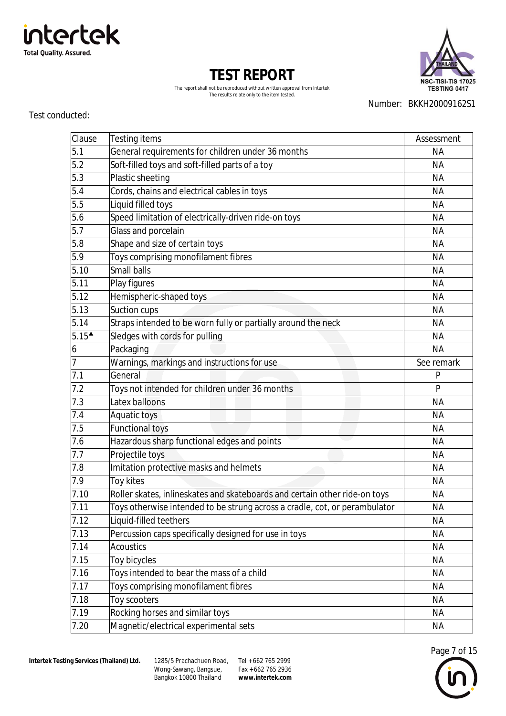

Wong-Sawang, Bangsue, Bangkok 10800 Thailand 1285/5 Prachachuen Road, Tel + 662 765 2999

Fax + 662 765 2936 **[www.intertek.com](http://www.intertek.com)**

| ◡ |   |  |
|---|---|--|
|   |   |  |
|   | I |  |
|   |   |  |

| $\overline{5.9}$                   | Toys comprising monofilament fibres                                        | <b>NA</b>  |
|------------------------------------|----------------------------------------------------------------------------|------------|
| 5.10                               | Small balls                                                                | <b>NA</b>  |
| 5.11                               | Play figures                                                               | <b>NA</b>  |
| 5.12                               | Hemispheric-shaped toys                                                    | <b>NA</b>  |
| 5.13                               | Suction cups                                                               | <b>NA</b>  |
| 5.14                               | Straps intended to be worn fully or partially around the neck              | <b>NA</b>  |
| $5.15^{\textstyle \blacktriangle}$ | Sledges with cords for pulling                                             | <b>NA</b>  |
| 6                                  | Packaging                                                                  | <b>NA</b>  |
| $\overline{7}$                     | Warnings, markings and instructions for use                                | See remark |
| 7.1                                | General                                                                    | P          |
| 7.2                                | Toys not intended for children under 36 months                             | P          |
| 7.3                                | Latex balloons                                                             | <b>NA</b>  |
| 7.4                                | Aquatic toys                                                               | <b>NA</b>  |
| 7.5                                | <b>Functional toys</b>                                                     | <b>NA</b>  |
| 7.6                                | Hazardous sharp functional edges and points                                | <b>NA</b>  |
| 7.7                                | Projectile toys                                                            | <b>NA</b>  |
| 7.8                                | Imitation protective masks and helmets                                     | <b>NA</b>  |
| 7.9                                | Toy kites                                                                  | <b>NA</b>  |
| 7.10                               | Roller skates, inlineskates and skateboards and certain other ride-on toys | <b>NA</b>  |
| 7.11                               | Toys otherwise intended to be strung across a cradle, cot, or perambulator | <b>NA</b>  |
| 7.12                               | Liquid-filled teethers                                                     | <b>NA</b>  |
| 7.13                               | Percussion caps specifically designed for use in toys                      | <b>NA</b>  |
| 7.14                               | <b>Acoustics</b>                                                           | <b>NA</b>  |
| 7.15                               | Toy bicycles                                                               | <b>NA</b>  |
| 7.16                               | Toys intended to bear the mass of a child                                  | <b>NA</b>  |
| 7.17                               | Toys comprising monofilament fibres                                        | <b>NA</b>  |
| 7.18                               | Toy scooters                                                               | <b>NA</b>  |
| 7.19                               | Rocking horses and similar toys                                            | <b>NA</b>  |
| 7.20                               | Magnetic/electrical experimental sets                                      | <b>NA</b>  |

The report shall not be reproduced without written approval from Intertek The results relate only to the item tested.

**TEST REPORT**

Clause Testing items **Assessment** Assessment 5.1 General requirements for children under 36 months Seneral Australian MA 5.2 Soft-filled toys and soft-filled parts of a toy settled parts of a to set of a to set of a to set of a to set of a to set of a to set of a to set of a to set of a to set of a to set of a to set of a to set of a to set 5.3 Plastic sheeting NA 5.4 Cords, chains and electrical cables in toys NA 5.5 Liquid filled toys NA 5.6 Speed limitation of electrically-driven ride-on toys Speed Limitation of electrically-driven ride-on toys 5.7 Glass and porcelain NA 5.8 Shape and size of certain toys and size of certain to set of the set of the set of the set of the set of the set of the set of the set of the set of the set of the set of the set of the set of the set of the set of the

**NSC-TISI-TIS 17025 TESTING 0417** 

Number: BKKH20009162S1

# intertek **Total Quality. Assured.**

Test conducted: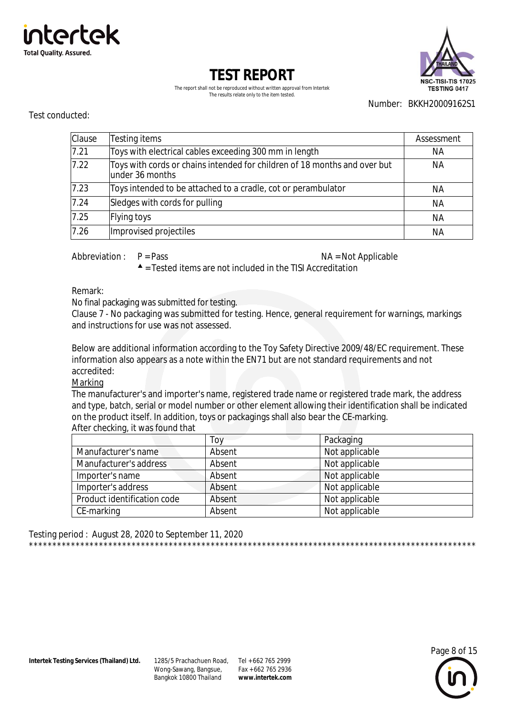



The report shall not be reproduced without written approval from Intertek The results relate only to the item tested.

Number: BKKH20009162S1

#### Test conducted:

| Clause | Testing items                                                                                 | Assessment |
|--------|-----------------------------------------------------------------------------------------------|------------|
| 7.21   | Toys with electrical cables exceeding 300 mm in length                                        | NА         |
| 7.22   | Toys with cords or chains intended for children of 18 months and over but<br>lunder 36 months | NА         |
| 7.23   | Toys intended to be attached to a cradle, cot or perambulator                                 | ΝA         |
| 7.24   | Sledges with cords for pulling                                                                | <b>NA</b>  |
| 7.25   | Flying toys                                                                                   | <b>NA</b>  |
| 7.26   | Improvised projectiles                                                                        | NА         |

Abbreviation:  $P = Pass$ 

NA = Not Applicable

 $\triangle$  = Tested items are not included in the TISI Accreditation

Remark:

No final packaging was submitted for testing.

Clause 7 - No packaging was submitted for testing. Hence, general requirement for warnings, markings and instructions for use was not assessed

Below are additional information according to the Toy Safety Directive 2009/48/EC requirement. These information also appears as a note within the EN71 but are not standard requirements and not accredited:

Marking

The manufacturer's and importer's name, registered trade name or registered trade mark, the address and type, batch, serial or model number or other element allowing their identification shall be indicated on the product itself. In addition, toys or packagings shall also bear the CE-marking. After checking, it was found that

|                             | Toy    | Packaging      |
|-----------------------------|--------|----------------|
| Manufacturer's name         | Absent | Not applicable |
| Manufacturer's address      | Absent | Not applicable |
| Importer's name             | Absent | Not applicable |
| Importer's address          | Absent | Not applicable |
| Product identification code | Absent | Not applicable |
| CE-marking                  | Absent | Not applicable |

Testing period: August 28, 2020 to September 11, 2020 

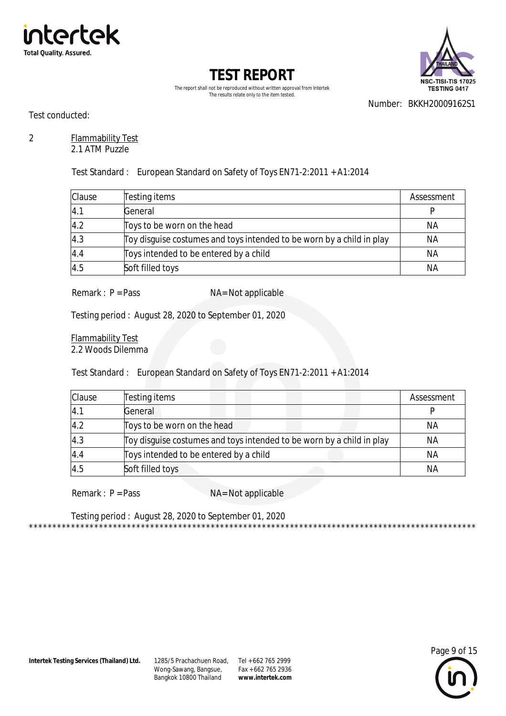



The report shall not be reproduced without written approval from Intertek The results relate only to the item tested.

Number: BKKH20009162S1

Test conducted:

### 2 Flammability Test

2.1 ATM Puzzle

Test Standard : European Standard on Safety of Toys EN71-2:2011 + A1:2014

| <b>Clause</b> | Testing items                                                         | Assessment |
|---------------|-----------------------------------------------------------------------|------------|
| 4.1           | General                                                               |            |
| 4.2           | Toys to be worn on the head                                           | NA         |
| 4.3           | Toy disguise costumes and toys intended to be worn by a child in play | NА         |
| 4.4           | Toys intended to be entered by a child                                | NA         |
| 4.5           | Soft filled toys                                                      | ΝA         |

 $Remark: P = Pass$   $NA = Not applicable$ 

Testing period : August 28, 2020 to September 01, 2020

Flammability Test 2.2 Woods Dilemma

Test Standard : European Standard on Safety of Toys EN71-2:2011 + A1:2014

| Clause | Testing items                                                         | Assessment |
|--------|-----------------------------------------------------------------------|------------|
| 4.1    | General                                                               |            |
| 4.2    | Toys to be worn on the head                                           | NА         |
| 4.3    | Toy disguise costumes and toys intended to be worn by a child in play | <b>NA</b>  |
| 4.4    | Toys intended to be entered by a child                                | NA         |
| 4.5    | Soft filled toys                                                      | <b>NA</b>  |

Remark : P = Pass NA= Not applicable

Testing period : August 28, 2020 to September 01, 2020



\*\*\*\*\*\*\*\*\*\*\*\*\*\*\*\*\*\*\*\*\*\*\*\*\*\*\*\*\*\*\*\*\*\*\*\*\*\*\*\*\*\*\*\*\*\*\*\*\*\*\*\*\*\*\*\*\*\*\*\*\*\*\*\*\*\*\*\*\*\*\*\*\*\*\*\*\*\*\*\*\*\*\*\*\*\*\*\*\*\*\*\*\*\*\*\*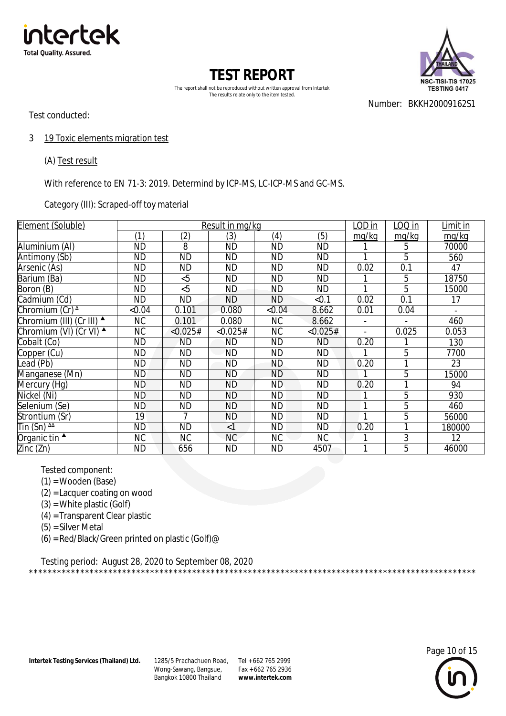



The report shall not be reproduced without written approval from Intertek The results relate only to the item tested.

Test conducted:

Number: BKKH20009162S1

3 19 Toxic elements migration test

(A) Test result

With reference to EN 71-3: 2019. Determind by ICP-MS, LC-ICP-MS and GC-MS.

Category (III): Scraped-off toy material

| Element (Soluble)                        |           | Result in mg/kg |           |           |           | <u>LOD in</u>  | $LOQ$ in | Limit in |
|------------------------------------------|-----------|-----------------|-----------|-----------|-----------|----------------|----------|----------|
|                                          | (1)       | (2)             | (3)       | (4)       | (5)       | mq/kg          | mg/kg    | mg/kg    |
| Aluminium (AI)                           | <b>ND</b> | 8               | <b>ND</b> | <b>ND</b> | <b>ND</b> |                | 5        | 70000    |
| Antimony (Sb)                            | <b>ND</b> | <b>ND</b>       | ND        | <b>ND</b> | <b>ND</b> |                | 5        | 560      |
| Arsenic (As)                             | <b>ND</b> | <b>ND</b>       | <b>ND</b> | <b>ND</b> | <b>ND</b> | 0.02           | 0.1      | 47       |
| Barium (Ba)                              | <b>ND</b> | &5              | <b>ND</b> | <b>ND</b> | <b>ND</b> |                | 5        | 18750    |
| Boron (B)                                | <b>ND</b> | &5              | ND.       | <b>ND</b> | <b>ND</b> | 1              | 5        | 15000    |
| Cadmium (Cd)                             | <b>ND</b> | <b>ND</b>       | <b>ND</b> | <b>ND</b> | < 0.1     | 0.02           | 0.1      | 17       |
| Chromium (Cr) <sup>^</sup>               | &0.04     | 0.101           | 0.080     | &0.04     | 8.662     | 0.01           | 0.04     |          |
| Chromium (III) (Cr III) ▲                | NC.       | 0.101           | 0.080     | NC.       | 8.662     | $\overline{a}$ |          | 460      |
| Chromium (VI) (Cr VI) ▲                  | <b>NC</b> | < 0.025#        | < 0.025#  | <b>NC</b> | < 0.025#  | $\blacksquare$ | 0.025    | 0.053    |
| Cobalt (Co)                              | <b>ND</b> | <b>ND</b>       | ΝD        | <b>ND</b> | ND.       | 0.20           |          | 130      |
| Copper (Cu)                              | <b>ND</b> | <b>ND</b>       | <b>ND</b> | <b>ND</b> | <b>ND</b> |                | 5        | 7700     |
| Lead (Pb)                                | <b>ND</b> | <b>ND</b>       | ND        | ND        | <b>ND</b> | 0.20           |          | 23       |
| Manganese (Mn)                           | ND.       | <b>ND</b>       | <b>ND</b> | <b>ND</b> | <b>ND</b> |                | 5        | 15000    |
| Mercury (Hg)                             | <b>ND</b> | <b>ND</b>       | <b>ND</b> | <b>ND</b> | <b>ND</b> | 0.20           | 1        | 94       |
| Nickel (Ni)                              | <b>ND</b> | <b>ND</b>       | <b>ND</b> | <b>ND</b> | <b>ND</b> | 1              | 5        | 930      |
| Selenium (Se)                            | <b>ND</b> | <b>ND</b>       | <b>ND</b> | <b>ND</b> | <b>ND</b> | 1              | 5        | 460      |
| Strontium (Sr)                           | 19        | 7               | <b>ND</b> | <b>ND</b> | <b>ND</b> | 1              | 5        | 56000    |
| $\overline{\text{I}}$ in (Sn) $\text{A}$ | <b>ND</b> | <b>ND</b>       | $\leq$ 1  | <b>ND</b> | <b>ND</b> | 0.20           | 1        | 180000   |
| Organic tin $\triangle$                  | NC.       | <b>NC</b>       | NC.       | <b>NC</b> | <b>NC</b> |                | 3        | 12       |
| Zinc (Zn)                                | ND        | 656             | <b>ND</b> | <b>ND</b> | 4507      | 1              | 5        | 46000    |

Tested component:

- (1) = Wooden (Base)
- (2) = Lacquer coating on wood
- (3) = White plastic (Golf)
- (4) = Transparent Clear plastic
- (5) = Silver Metal
- (6) = Red/Black/Green printed on plastic (Golf) $@$

Testing period: August 28, 2020 to September 08, 2020 \*\*\*\*\*\*\*\*\*\*\*\*\*\*\*\*\*\*\*\*\*\*\*\*\*\*\*\*\*\*\*\*\*\*\*\*\*\*\*\*\*\*\*\*\*\*\*\*\*\*\*\*\*\*\*\*\*\*\*\*\*\*\*\*\*\*\*\*\*\*\*\*\*\*\*\*\*\*\*\*\*\*\*\*\*\*\*\*\*\*\*\*\*\*\*\*

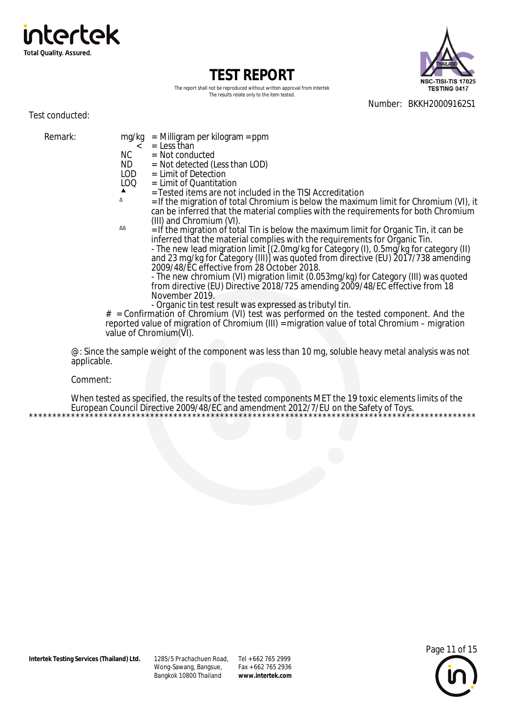



The report shall not be reproduced without written approval from Intertek The results relate only to the item tested.

Number: BKKH20009162S1

Test conducted:

Remark: mg/kg = Milligram per kilogram = ppm  $=$  Less than

NC = Not conducted<br>ND = Not detected (L

 $ND = Not detected (Less than LOD)   
\nLOD = Limit of Detection$ 

LOD = Limit of Detection<br>LOQ = Limit of Quantitati

ΔΔ

- $=$  Limit of Quantitation
- $\uparrow$  = Tested items are not included in the TISI Accreditation

 $=$  If the migration of total Chromium is below the maximum limit for Chromium (VI), it can be inferred that the material complies with the requirements for both Chromium (III) and Chromium (VI).

 $\frac{1}{2}$  if the migration of total Tin is below the maximum limit for Organic Tin, it can be inferred that the material complies with the requirements for Organic Tin. - The new lead migration limit [(2.0mg/kg for Category (I), 0.5mg/kg for category (II)

and 23 mg/kg for Category (III)] was quoted from directive (EU) 2017/738 amending 2009/48/EC effective from 28 October 2018.

- The new chromium (VI) migration limit (0.053mg/kg) for Category (III) was quoted from directive (EU) Directive 2018/725 amending 2009/48/EC effective from 18 November 2019.

- Organic tin test result was expressed as tributyl tin.

# = Confirmation of Chromium (VI) test was performed on the tested component. And the reported value of migration of Chromium (III) = migration value of total Chromium – migration value of Chromium(VI).

@: Since the sample weight of the component was less than 10 mg, soluble heavy metal analysis was not applicable.

Comment:

When tested as specified, the results of the tested components MET the 19 toxic elements limits of the European Council Directive 2009/48/EC and amendment 2012/7/EU on the Safety of Toys. \*\*\*\*\*\*\*\*\*\*\*\*\*\*\*\*\*\*\*\*\*\*\*\*\*\*\*\*\*\*\*\*\*\*\*\*\*\*\*\*\*\*\*\*\*\*\*\*\*\*\*\*\*\*\*\*\*\*\*\*\*\*\*\*\*\*\*\*\*\*\*\*\*\*\*\*\*\*\*\*\*\*\*\*\*\*\*\*\*\*\*\*\*\*\*\*

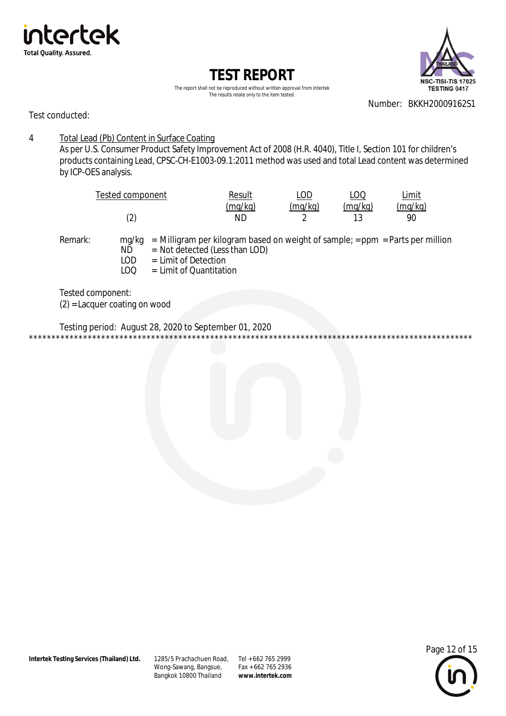



The report shall not be reproduced without written approval from Intertek The results relate only to the item tested.

Number: BKKH20009162S1

Test conducted:

 $\overline{4}$ Total Lead (Pb) Content in Surface Coating

As per U.S. Consumer Product Safety Improvement Act of 2008 (H.R. 4040), Title I, Section 101 for children's products containing Lead, CPSC-CH-E1003-09.1:2011 method was used and total Lead content was determined by ICP-OES analysis.

| Tested component | Result  | LOD     | LOQ     | Limit   |
|------------------|---------|---------|---------|---------|
|                  | (mg/kg) | (mq/kg) | (mg/kg) | (mg/kg) |
| (2               | ΝD      |         |         |         |

Remark:

 $mq/kg$  = Milligram per kilogram based on weight of sample; = ppm = Parts per million  $=$  Not detected (Less than LOD) NĎ  $=$  Limit of Detection

- LOD
- $100$  $=$  limit of Quantitation

Tested component:  $(2)$  = Lacquer coating on wood

Testing period: August 28, 2020 to September 01, 2020

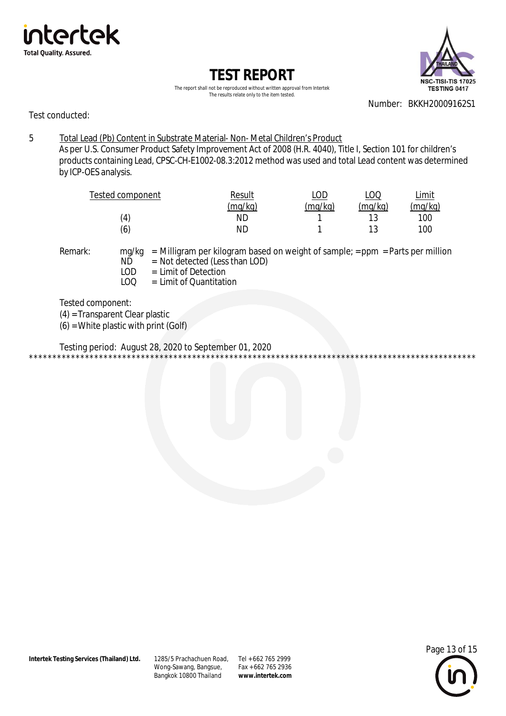



The report shall not be reproduced without written approval from Intertek The results relate only to the item tested.

Number: BKKH20009162S1

Test conducted:

5 Total Lead (Pb) Content in Substrate Material- Non- Metal Children's Product As per U.S. Consumer Product Safety Improvement Act of 2008 (H.R. 4040), Title I, Section 101 for children's products containing Lead, CPSC-CH-E1002-08.3:2012 method was used and total Lead content was determined by ICP-OES analysis.

| Tested component  | Result  | LOD     | LOO     | Limit   |
|-------------------|---------|---------|---------|---------|
|                   | (mg/kg) | (mg/kg) | (mg/kg) | (mg/kg) |
| $\left( 4\right)$ | ΝD      |         | 12      | 100     |
| (6)               | ΝD      |         |         | 100     |

- Remark: mg/kg = Milligram per kilogram based on weight of sample; = ppm = Parts per million<br>ND = Not detected (Less than LOD)
	- $N\overrightarrow{D}$  = Not detected (Less than LOD)<br>LOD = Limit of Detection  $=$  Limit of Detection
	- LOQ = Limit of Quantitation

Tested component:

(4) = Transparent Clear plastic  $(6)$  = White plastic with print (Golf)

Testing period: August 28, 2020 to September 01, 2020 \*\*\*\*\*\*\*\*\*\*\*\*\*\*\*\*\*\*\*\*\*\*\*\*\*\*\*\*\*\*\*\*\*\*\*\*\*\*\*\*\*\*\*\*\*\*\*\*\*\*\*\*\*\*\*\*\*\*\*\*\*\*\*\*\*\*\*\*\*\*\*\*\*\*\*\*\*\*\*\*\*\*\*\*\*\*\*\*\*\*\*\*\*\*\*\*

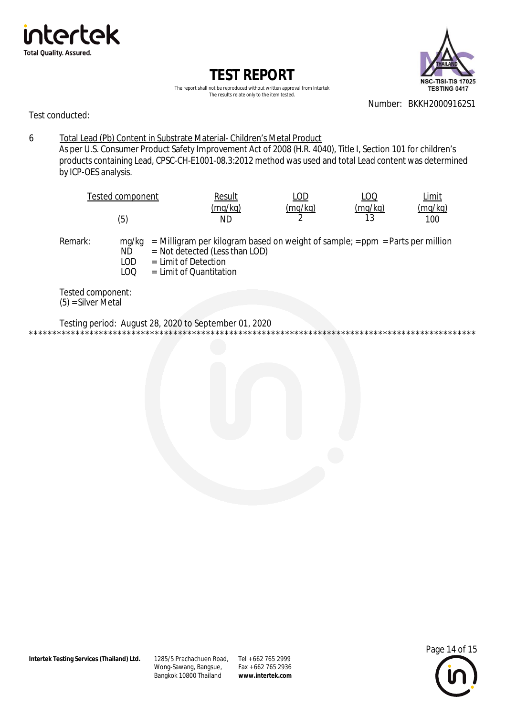



The report shall not be reproduced without written approval from Intertek The results relate only to the item tested.

Number: BKKH20009162S1

Test conducted:

6 Total Lead (Pb) Content in Substrate Material- Children's Metal Product As per U.S. Consumer Product Safety Improvement Act of 2008 (H.R. 4040), Title I, Section 101 for children's products containing Lead, CPSC-CH-E1001-08.3:2012 method was used and total Lead content was determined by ICP-OES analysis.

|                   | Tested component          |                      | Result                                                        | LOD                                                                                 | LOQ           | Limit          |
|-------------------|---------------------------|----------------------|---------------------------------------------------------------|-------------------------------------------------------------------------------------|---------------|----------------|
|                   | (5)                       |                      | (mq/kg)<br>ND                                                 | (mq/kg)                                                                             | (mq/kg)<br>13 | (mq/kg)<br>100 |
| Remark:           | mg/kg<br>ND<br>LOD<br>LOQ | = Limit of Detection | $=$ Not detected (Less than LOD)<br>$=$ Limit of Quantitation | $=$ Milligram per kilogram based on weight of sample; $=$ ppm $=$ Parts per million |               |                |
| Tested component: |                           |                      |                                                               |                                                                                     |               |                |

(5) = Silver Metal

Testing period: August 28, 2020 to September 01, 2020 \*\*\*\*\*\*\*\*\*\*\*\*\*\*\*\*\*\*\*\*\*\*\*\*\*\*\*\*\*\*\*\*\*\*\*\*\*\*\*\*\*\*\*\*\*\*\*\*\*\*\*\*\*\*\*\*\*\*\*\*\*\*\*\*\*\*\*\*\*\*\*\*\*\*\*\*\*\*\*\*\*\*\*\*\*\*\*\*\*\*\*\*\*\*\*\*